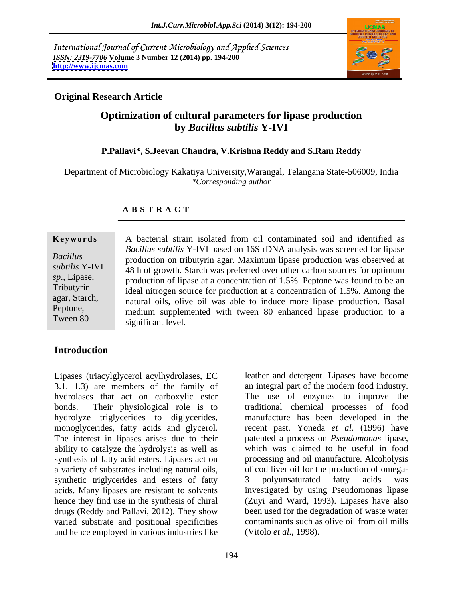International Journal of Current Microbiology and Applied Sciences *ISSN: 2319-7706* **Volume 3 Number 12 (2014) pp. 194-200 <http://www.ijcmas.com>**



# **Original Research Article**

# **Optimization of cultural parameters for lipase production by** *Bacillus subtilis* **Y-IVI**

# **P.Pallavi\*, S.Jeevan Chandra, V.Krishna Reddy and S.Ram Reddy**

Department of Microbiology Kakatiya University,Warangal, Telangana State-506009, India *\*Corresponding author*

# **A B S T R A C T**

een ou enhanceu hpase production to a **Ke ywo rds** A bacterial strain isolated from oil contaminated soil and identified as *Bacillus*  production on tributyrin agar. Maximum lipase production was observed at *subtilis* Y-IVI 48 h of growth. Starch was preferred over other carbon sources for optimum sp., Lipase, production of lipase at a concentration of 1.5%. Peptone was found to be an Tributyrin ideal nitrogen source for production at a concentration of 1.5%. Among the agar, Starch, natural oils, olive oil was able to induce more lipase production. Basal Peptone,<br>
medium supplemented with tween 80 enhanced lipase production to a Tween  $80$  significant level *Bacillus subtilis* Y-IVI based on 16S rDNA analysis was screened for lipase significant level.

# **Introduction**

Lipases (triacylglycerol acylhydrolases, EC leather and detergent. Lipases have become 3.1. 1.3) are members of the family of hydrolases that act on carboxylic ester The use of enzymes to improve the bonds. Their physiological role is to traditional chemical processes of food hydrolyze triglycerides to diglycerides, manufacture has been developed in the monoglycerides, fatty acids and glycerol. recent past. Yoneda *et al.* (1996) have The interest in lipases arises due to their ability to catalyze the hydrolysis as well as synthesis of fatty acid esters. Lipases act on a variety of substrates including natural oils, of cod liver oil for the production of omegasynthetic triglycerides and esters of fatty 3 polyunsaturated fatty acids was acids. Many lipases are resistant to solvents investigated by using Pseudomonas lipase hence they find use in the synthesis of chiral (Zuyi and Ward, 1993). Lipases have also drugs (Reddy and Pallavi, 2012). They show been used for the degradation of waste water varied substrate and positional specificities contaminants such as olive oil from oil mills and hence employed in various industries like

an integral part of the modern food industry. patented a process on *Pseudomonas* lipase, which was claimed to be useful in food processing and oil manufacture. Alcoholysis 3 polyunsaturated fatty acids was (Vitolo *et al.,* 1998).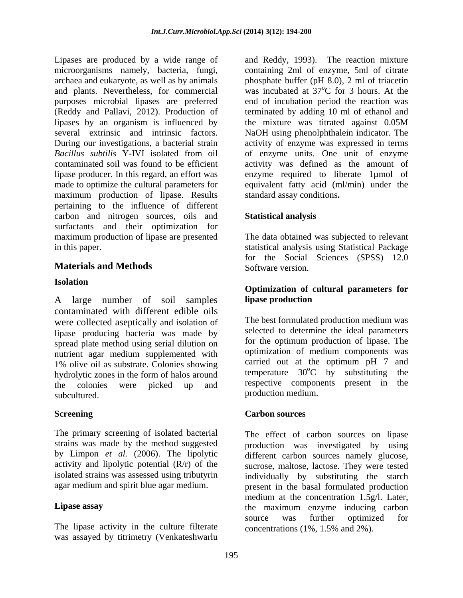Lipases are produced by a wide range of and Reddy, 1993). The reaction mixture microorganisms namely, bacteria, fungi, archaea and eukaryote, as well as by animals phosphate buffer (pH 8.0), 2 ml of triacetin and plants. Nevertheless, for commercial was incubated at 37<sup>o</sup>C for 3 hours. At the purposes microbial lipases are preferred (Reddy and Pallavi, 2012). Production of terminated by adding 10 ml of ethanol and lipases by an organism is influenced by the mixture was titrated against 0.05M several extrinsic and intrinsic factors. NaOH using phenolphthalein indicator. The During our investigations, a bacterial strain activity of enzyme was expressed in terms *Bacillus subtilis* Y-IVI isolated from oil of enzyme units. One unit of enzyme contaminated soil was found to be efficient activity was defined as the amount of lipase producer. In this regard, an effort was enzyme required to liberate 1µmol of made to optimize the cultural parameters for equivalent fatty acid (ml/min) under the maximum production of lipase. Results pertaining to the influence of different carbon and nitrogen sources, oils and **Statistical analysis** surfactants and their optimization for maximum production of lipase are presented The data obtained was subjected to relevant

# **Materials and Methods**

A large number of soil samples contaminated with different edible oils were collected aseptically and isolation of lipase producing bacteria was made by spread plate method using serial dilution on nutrient agar medium supplemented with 1% olive oil as substrate. Colonies showing carried out at the optimum pH  $\%$  and hydrolytic zones in the form of helos ground temperature  $30^{\circ}$ C by substituting the hydrolytic zones in the form of halos around temperature 30°C by substituting the the colonies were picked up and respective components present in the subcultured.

The primary screening of isolated bacterial strains was made by the method suggested

The lipase activity in the culture filterate was assayed by titrimetry (Venkateshwarlu

containing 2ml of enzyme, 5ml of citrate was incubated at  $37^{\circ}$ C for 3 hours. At the end of incubation period the reaction was the mixture was titrated against 0.05M standard assay conditions**.**

# **Statistical analysis**

in this paper. statistical analysis using Statistical Package for the Social Sciences (SPSS) 12.0 Software version.

### **Isolation Optimization of cultural parameters for lipase production**

The best formulated production medium was selected to determine the ideal parameters for the optimum production of lipase. The optimization of medium components was carried out at the optimum pH 7 and temperature  $30^{\circ}$ C by substituting  $\rm{^{\circ}C}$  by substituting the respective components present in the

### **Screening Service Carbon sources Carbon sources Carbon sources**

by Limpon *et al.* (2006). The lipolytic different carbon sources namely glucose, activity and lipolytic potential (R/r) of the sucrose, maltose, lactose. They were tested isolated strains was assessed using tributyrin individually by substituting the starch agar medium and spirit blue agar medium. present in the basal formulated production **Lipase assay** the maximum enzyme inducing carbon The effect of carbon sources on lipase production was investigated by using medium at the concentration 1.5g/l. Later, source was further optimized for concentrations (1%, 1.5% and 2%).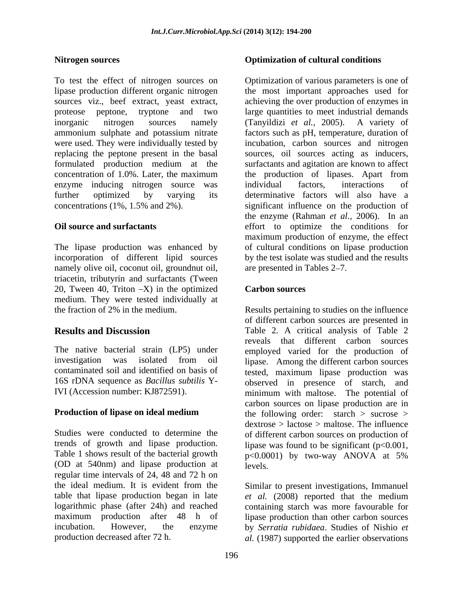To test the effect of nitrogen sources on Optimization of various parameters is one of lipase production different organic nitrogen the most important approaches used for sources viz., beef extract, yeast extract, achieving the over production of enzymes in proteose peptone, tryptone and two large quantities to meet industrial demands inorganic nitrogen sources namely (Tanyildizi *et al.,* 2005). A variety of ammonium sulphate and potassium nitrate factors such as pH, temperature, duration of were used. They were individually tested by incubation, carbon sources and nitrogen replacing the peptone present in the basal sources, oil sources acting as inducers, formulated production medium at the concentration of 1.0%. Later, the maximum the production of lipases. Apart from enzyme inducing nitrogen source was further optimized by varying its determinative factors will also have a concentrations (1%, 1.5% and 2%). significant influence on the production of

The lipase production was enhanced by incorporation of different lipid sources namely olive oil, coconut oil, groundnut oil, triacetin, tributyrin and surfactants (Tween 20, Tween 40, Triton  $-X$ ) in the optimized **Carbon sources** medium. They were tested individually at

Table 1 shows result of the bacterial growth  $p<0.0001$ ) by two-way ANOVA at 5% (OD at 540nm) and lipase production at regular time intervals of 24, 48 and 72 h on

## **Nitrogen sources Optimization of cultural conditions**

**Oil source and surfactants** effort to optimize the conditions for surfactants and agitation are known to affect individual factors, interactions of the enzyme (Rahman *et al.*, 2006). In an maximum production of enzyme, the effect of cultural conditions on lipase production by the test isolate was studied and the results are presented in Tables 2–7.

## **Carbon sources**

the fraction of 2% in the medium. Results pertaining to studies on the influence **Results and Discussion** Table 2. A critical analysis of Table 2 The native bacterial strain (LP5) under employed varied for the production of investigation was isolated from oil lipase. Among the different carbon sources contaminated soil and identified on basis of tested, maximum lipase production was 16S rDNA sequence as *Bacillus subtilis* Y-observed in presence of starch, and IVI (Accession number: KJ872591). minimum with maltose. The potential of **Production of lipase on ideal medium** the following order: starch > sucrose > Studies were conducted to determine the of different carbon sources on production of trends of growth and lipase production. lipase was found to be significant  $(p<0.001,$ of different carbon sources are presented in reveals that different carbon sources carbon sources on lipase production are in dextrose > lactose > maltose. The influence p<0.0001) by two-way ANOVA at 5% levels.

the ideal medium. It is evident from the Similar to present investigations, Immanuel table that lipase production began in late *et al.* (2008) reported that the medium logarithmic phase (after 24h) and reached containing starch was more favourable for maximum production after 48 h of lipase production than other carbon sources incubation. However, the enzyme by *Serratia rubidaea*. Studies of Nishio *et*  production decreased after 72 h.  $al. (1987)$  supported the earlier observations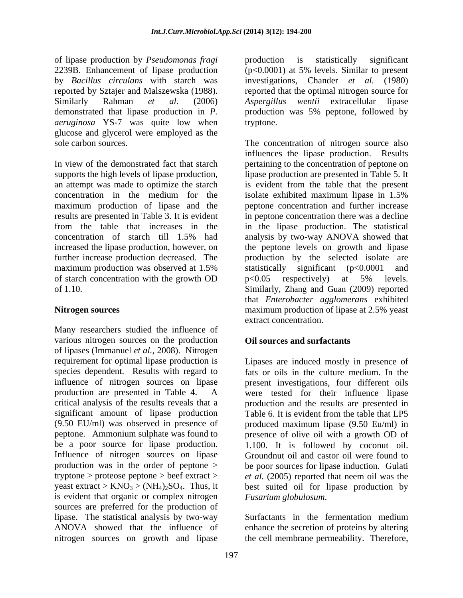of lipase production by *Pseudomonas fragi* 2239B. Enhancement of lipase production (p<0.0001) at 5% levels. Similar to present by *Bacillus circulans* with starch was investigations, Chander *et al.* (1980) reported by Sztajer and Malszewska (1988). reported that the optimal nitrogen source for Similarly Rahman *et al.* (2006) *Aspergillus wentii* extracellular lipase demonstrated that lipase production in *P.*  production was 5% peptone, followed by *aeruginosa* YS-7 was quite low when glucose and glycerol were employed as the

In view of the demonstrated fact that starch pertaining to the concentration of peptone on supports the high levels of lipase production, lipase production are presented in Table 5. It an attempt was made to optimize the starch is evident from the table that the present concentration in the medium for the isolate exhibited maximum lipase in 1.5% maximum production of lipase and the results are presented in Table 3. It is evident in peptone concentration there was a decline from the table that increases in the in the lipase production. The statistical concentration of starch till 1.5% had analysisby two-way ANOVA showed that increased the lipase production, however, on the peptone levels on growth and lipase further increase production decreased. The production by the selected isolate are maximum production was observed at 1.5% statistically significant (p<0.0001 and of starch concentration with the growth OD  $p<0.05$  respectively) at 5% levels. of 1.10. Similarly, Zhang and Guan (2009) reported

Many researchers studied the influence of various nitrogen sources on the production of lipases (Immanuel *et al.,* 2008). Nitrogen critical analysis of the results reveals that a significant amount of lipase production Table 6. It is evident from the table that LP5 (9.50 EU/ml) was observed in presence of Influence of nitrogen sources on lipase is evident that organic or complex nitrogen Fusarium globulosum. sources are preferred for the production of lipase. The statistical analysis by two-way Surfactants in the fermentation medium ANOVA showed that the influence of enhance the secretion of proteins by altering nitrogen sources on growth and lipase

production is statistically significant tryptone.

sole carbon sources. The concentration of nitrogen source also **Nitrogen sources Example 2.5%** and **n**  $\alpha$  maximum production of lipase at 2.5% yeast influences the lipase production. Results isolate exhibited maximum lipase in 1.5% peptone concentration and further increase statistically significant (p<0.0001 and p<0.05 respectively) at 5% levels. that *Enterobacter agglomerans* exhibited extract concentration.

# **Oil sources and surfactants**

requirement for optimal lipase production is Lipases are induced mostly in presence of species dependent. Results with regard to fats or oils in the culture medium. In the influence of nitrogen sources on lipase present investigations, four different oils production are presented in Table 4. A were tested for their influence lipase peptone. Ammonium sulphate was found to presence of olive oil with a growth OD of be a poor source for lipase production. 1.100. It is followed by coconut oil. production was in the order of peptone > be poor sources for lipase induction. Gulati tryptone > proteose peptone > beef extract > *et al.* (2005) reported that neem oil was the yeast extract >  $KNO_3$  >  $(NH_4)_2SO_4$ . Thus, it best suited oil for lipase production by production and the results are presented in Table 6. It is evident from the table that LP5 produced maximum lipase (9.50 Eu/ml) in Groundnut oil and castor oil were found to

*Fusarium globulosum*. Surfactants in the fermentation medium the cell membrane permeability. Therefore,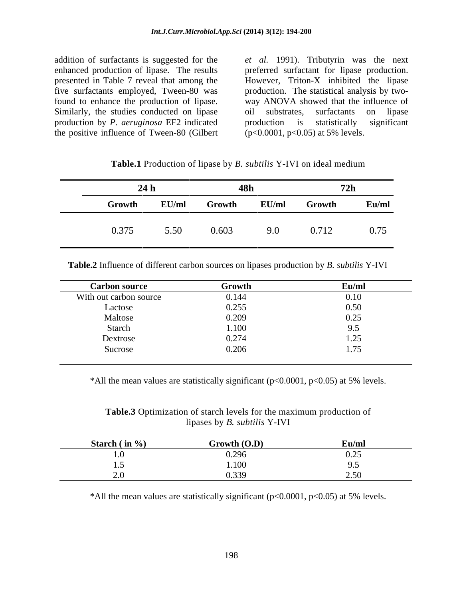Similarly, the studies conducted on lipase oil substrates, surfactants on lipase production by *P. aeruginosa* EF2 indicated the positive influence of Tween-80 (Gilbert

addition of surfactants is suggested for the *et al.* 1991). Tributyrin was the next enhanced production of lipase. The results preferred surfactant for lipase production. presented in Table 7 reveal that among the However, Triton-X inhibited the lipase five surfactants employed, Tween-80 was production. The statistical analysis by two found to enhance the production of lipase. way ANOVA showed that the influence of oil substrates, surfactants on lipase production is statistically significant (p<0.0001, p<0.05) at 5% levels.

| $\cdot$ Y-IVI on idea.<br>Table.1 Proc<br>Thase by B.<br>wuutu |  |  |
|----------------------------------------------------------------|--|--|
|                                                                |  |  |

|        | 24h   | <b>48h</b> |       | <b>72h</b> |       |
|--------|-------|------------|-------|------------|-------|
| Growth | EU/ml | Growth     | EU/ml | Growth     | Eu/ml |
| 0.375  | 5.50  | 0.603      | 9.0   | 0.712      | 0.75  |

**Table.2** Influence of different carbon sources on lipases production by *B. subtilis* Y-IVI

| With out carbon source<br>0.144 |                                             |
|---------------------------------|---------------------------------------------|
|                                 |                                             |
| 0.255<br>Lactose                | $\begin{array}{c} 0.10 \\ 0.50 \end{array}$ |
| 0.209<br>Maltose                | 0.25<br>.<br>0.2J                           |
| $1.100\,$<br>Starch             | $\sim$ $\sim$<br>ر.,                        |
| 0.274<br>Dextrose               | 1.25                                        |
| 0.206<br>Sucrose                | 1.75                                        |

\*All the mean values are statistically significant ( $p<0.0001$ ,  $p<0.05$ ) at 5% levels.

**Table.3** Optimization of starch levels for the maximum production of lipases by *B. subtilis* Y-IVI

| m<br>ətarcıl | Growth (O.D)                      | $\sim$<br>ец/ш                         |
|--------------|-----------------------------------|----------------------------------------|
|              | $\sim$ 0.0 $\sim$<br>2.290        | $\sim$ $\sim$ $\sim$<br>0.43           |
|              | 1.100                             |                                        |
|              | 0.220<br>$\overline{\phantom{a}}$ | $\sim$ $\sim$<br>$- \cdot \cdot \cdot$ |

\*All the mean values are statistically significant ( $p<0.0001$ ,  $p<0.05$ ) at 5% levels.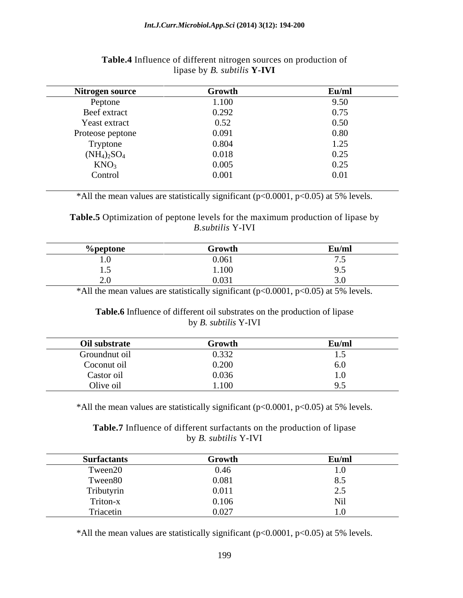| Nitrogen source  | Growth   | Eu/ml |
|------------------|----------|-------|
| Peptone          | 1.100    | 9.50  |
| Beef extract     | 0.292    | 0.75  |
| Yeast extract    | $0.52\,$ | 0.50  |
| Proteose peptone | 0.091    | 0.80  |
| Tryptone         | 0.804    | 1.25  |
| $(NH_4)_2SO_4$   | 0.018    | 0.25  |
| KNO <sub>3</sub> | 0.005    | 0.25  |
| Control          | 0.001    | 0.01  |

### **Table.4** Influence of different nitrogen sources on production of lipase by *B. subtilis* **Y-IVI**

\*All the mean values are statistically significant ( $p<0.0001$ ,  $p<0.05$ ) at 5% levels.

**Table.5** Optimization of peptone levels for the maximum production of lipase by<br>*B.subtilis* Y-IVI *B.subtilis* Y-IVI

| υτυιι         | ԾՐՕԽՆ                      | $\sim$<br>ечли |
|---------------|----------------------------|----------------|
| .             | .<br>U.VUI                 |                |
| $\cdot \cdot$ | 1.100                      |                |
|               | በ በ21<br>$\cdot\cdot\cdot$ |                |

\*All the mean values are statistically significant ( $p<0.0001$ ,  $p<0.05$ ) at 5% levels.

### **Table.6** Influence of different oil substrates on the production of lipase by *B. subtilis* Y-IVI

| Oil substrate         | Growth                  | $\mathbf{r}$<br>Eu/ml |
|-----------------------|-------------------------|-----------------------|
| Groundnut oil         | 0.332                   | ⊥ ∙ັ                  |
| $\sim$<br>Coconut oil | 0.200                   | 0.0                   |
| Castor oil            | 0.036                   |                       |
| Olive oil             | $\sqrt{100}$<br>1.1 V V |                       |

\*All the mean values are statistically significant (p<0.0001, p<0.05) at 5% levels.

**Table.7** Influence of different surfactants on the production of lipase by *B. subtilis* Y-IVI

| <b>Surfactants</b>    | Growth                                                 | Eu/ml       |
|-----------------------|--------------------------------------------------------|-------------|
|                       | 0.46                                                   | $\cdot$ v   |
| Tween20<br>Tween80    | 0.081                                                  |             |
| Tributyrin            |                                                        | ⊷           |
| Triton-x<br>Triacetin |                                                        | <b>TAIT</b> |
|                       | $\begin{array}{c} 0.011 \\ 0.106 \\ 0.027 \end{array}$ |             |

\*All the mean values are statistically significant ( $p<0.0001$ ,  $p<0.05$ ) at 5% levels.